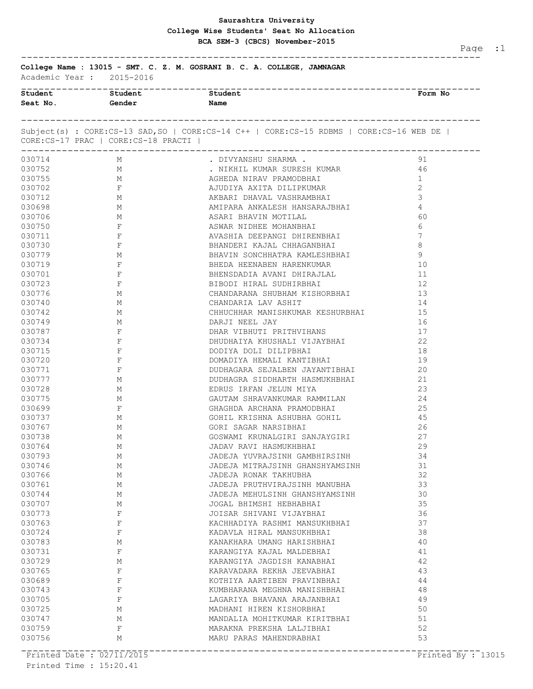## **Saurashtra University BCA SEM-3 (CBCS) November-2015 College Wise Students' Seat No Allocation**

Page :1

------------------------------------------------------------------------------- **College Name : 13015 - SMT. C. Z. M. GOSRANI B. C. A. COLLEGE, JAMNAGAR**

| Student  |                                                                  |                                                                                                                                                                                                                                                                                                                                                                                                                                                                                                          | Form No                                      |
|----------|------------------------------------------------------------------|----------------------------------------------------------------------------------------------------------------------------------------------------------------------------------------------------------------------------------------------------------------------------------------------------------------------------------------------------------------------------------------------------------------------------------------------------------------------------------------------------------|----------------------------------------------|
| Seat No. | Gender                                                           | Name                                                                                                                                                                                                                                                                                                                                                                                                                                                                                                     |                                              |
|          | CORE: CS-17 PRAC   CORE: CS-18 PRACTI                            | Subject(s) : CORE:CS-13 SAD, SO   CORE:CS-14 C++   CORE:CS-15 RDBMS   CORE:CS-16 WEB DE                                                                                                                                                                                                                                                                                                                                                                                                                  |                                              |
|          | ---------------------------------<br>030714 M                    | . DIVYANSHU SHARMA .                                                                                                                                                                                                                                                                                                                                                                                                                                                                                     | 91                                           |
|          | 030752 M                                                         | . NIKHIL KUMAR SURESH KUMAR                                                                                                                                                                                                                                                                                                                                                                                                                                                                              | -46                                          |
|          |                                                                  |                                                                                                                                                                                                                                                                                                                                                                                                                                                                                                          | 1                                            |
|          |                                                                  |                                                                                                                                                                                                                                                                                                                                                                                                                                                                                                          | 2                                            |
|          |                                                                  |                                                                                                                                                                                                                                                                                                                                                                                                                                                                                                          | $\overline{\mathbf{3}}$                      |
|          |                                                                  |                                                                                                                                                                                                                                                                                                                                                                                                                                                                                                          | $\overline{4}$                               |
|          |                                                                  | $\begin{array}{cccccccccc} 030752 & & & M & & & & \multicolumn{2}{c}{\begin{tabular}{c} \multicolumn{2}{c}{\begin{tabular}{c} \multicolumn{2}{c}{\begin{tabular}{c} \multicolumn{2}{c}{\begin{tabular}{c} \multicolumn{2}{c}{\begin{tabular}{c} \multicolumn{2}{c}{\begin{tabular}{c} \multicolumn{2}{c}{\begin{tabular}{c} \multicolumn{2}{c}{\begin{tabular}{c} \multicolumn{2}{c}{\begin{tabular}{c} \multicolumn{2}{c}{\begin{tabular}{c} \multicolumn{2}{c}{\begin{tabular}{c} \multicolumn{2}{c}{$ | 60                                           |
|          |                                                                  |                                                                                                                                                                                                                                                                                                                                                                                                                                                                                                          | 6                                            |
|          |                                                                  |                                                                                                                                                                                                                                                                                                                                                                                                                                                                                                          | 7                                            |
|          |                                                                  | CONTRACT CONTRACT CONTRACT CONTRACT CONTRACT CONTRACT CONTRACT CONTRACT CONTRACT CONTRACT CONTRACT CONTRACT CONTRACT CONTRACT CONTRACT CONTRACT CONTRACT CONTRACT CONTRACT CONTRACT CONTRACT CONTRACT CONTRACT CONTRACT CONTRA<br>BHANDERI KAJAL CHHAGANBHAI                                                                                                                                                                                                                                             | 8                                            |
|          |                                                                  | BHAVIN SONCHHATRA KAMLESHBHAI<br>BHEDA HEENABEN HARENKUMAR<br>BHENSDADIA AVANI DHIRAJLAL                                                                                                                                                                                                                                                                                                                                                                                                                 | 9                                            |
|          |                                                                  |                                                                                                                                                                                                                                                                                                                                                                                                                                                                                                          | 10                                           |
|          |                                                                  |                                                                                                                                                                                                                                                                                                                                                                                                                                                                                                          | 11                                           |
|          |                                                                  |                                                                                                                                                                                                                                                                                                                                                                                                                                                                                                          | 12                                           |
|          |                                                                  |                                                                                                                                                                                                                                                                                                                                                                                                                                                                                                          | 13                                           |
|          |                                                                  |                                                                                                                                                                                                                                                                                                                                                                                                                                                                                                          | 14                                           |
|          |                                                                  | 030725 F<br>030776 M<br>030740 M<br>030742 M<br>030742 M<br>030749 M<br>030787 F<br>030734 F<br>030734 F<br>030734 F<br>030734 F<br>030715 F<br>030715 F<br>030715 F<br>030715 F<br>0202720 F<br>0202720                                                                                                                                                                                                                                                                                                 | 15                                           |
|          |                                                                  |                                                                                                                                                                                                                                                                                                                                                                                                                                                                                                          | 16                                           |
|          |                                                                  |                                                                                                                                                                                                                                                                                                                                                                                                                                                                                                          | 17                                           |
|          |                                                                  |                                                                                                                                                                                                                                                                                                                                                                                                                                                                                                          | - 22                                         |
|          |                                                                  |                                                                                                                                                                                                                                                                                                                                                                                                                                                                                                          | 18                                           |
|          |                                                                  | DOMADIYA HEMALI KANTIBHAI                                                                                                                                                                                                                                                                                                                                                                                                                                                                                | 19                                           |
|          |                                                                  | DUDHAGARA SEJALBEN JAYANTIBHAI                                                                                                                                                                                                                                                                                                                                                                                                                                                                           | 20                                           |
|          | 030720<br>030720<br>030771 F<br>030777 M<br>030728 M<br>030775 M | DUDHAGRA SIDDHARTH HASMUKHBHAI<br>EDRUS IRFAN JELUN MIYA                                                                                                                                                                                                                                                                                                                                                                                                                                                 | 21                                           |
|          |                                                                  |                                                                                                                                                                                                                                                                                                                                                                                                                                                                                                          | 23                                           |
|          |                                                                  | GAUTAM SHRAVANKUMAR RAMMILAN                                                                                                                                                                                                                                                                                                                                                                                                                                                                             | 24                                           |
| 030699   |                                                                  | F GHAGHDA ARCHANA PRAMODBHAI                                                                                                                                                                                                                                                                                                                                                                                                                                                                             | 25                                           |
|          | 030737 M                                                         | GOHIL KRISHNA ASHUBHA GOHIL                                                                                                                                                                                                                                                                                                                                                                                                                                                                              | 45                                           |
|          | 030767<br>030738 M<br>030764 M                                   | GORI SAGAR NARSIBHAI                                                                                                                                                                                                                                                                                                                                                                                                                                                                                     | 26                                           |
|          |                                                                  | GOSWAMI KRUNALGIRI SANJAYGIRI<br>JADAV RAVI HASMUKHBHAI                                                                                                                                                                                                                                                                                                                                                                                                                                                  | 27                                           |
|          |                                                                  |                                                                                                                                                                                                                                                                                                                                                                                                                                                                                                          | 29                                           |
| 030793   | M                                                                | JADEJA YUVRAJSINH GAMBHIRSINH                                                                                                                                                                                                                                                                                                                                                                                                                                                                            | 34                                           |
| 030746   | М                                                                | JADEJA MITRAJSINH GHANSHYAMSINH                                                                                                                                                                                                                                                                                                                                                                                                                                                                          | 31                                           |
| 030766   | M                                                                | JADEJA RONAK TAKHUBHA                                                                                                                                                                                                                                                                                                                                                                                                                                                                                    | 32                                           |
| 030761   | М                                                                | JADEJA PRUTHVIRAJSINH MANUBHA                                                                                                                                                                                                                                                                                                                                                                                                                                                                            | 33                                           |
| 030744   | М                                                                | JADEJA MEHULSINH GHANSHYAMSINH                                                                                                                                                                                                                                                                                                                                                                                                                                                                           | 30                                           |
| 030707   | М                                                                | JOGAL BHIMSHI HEBHABHAI                                                                                                                                                                                                                                                                                                                                                                                                                                                                                  | 35                                           |
| 030773   | F                                                                | JOISAR SHIVANI VIJAYBHAI                                                                                                                                                                                                                                                                                                                                                                                                                                                                                 | 36                                           |
| 030763   | F                                                                | KACHHADIYA RASHMI MANSUKHBHAI                                                                                                                                                                                                                                                                                                                                                                                                                                                                            | 37                                           |
| 030724   | F                                                                | KADAVLA HIRAL MANSUKHBHAI                                                                                                                                                                                                                                                                                                                                                                                                                                                                                | 38                                           |
| 030783   | М                                                                | KANAKHARA UMANG HARISHBHAI                                                                                                                                                                                                                                                                                                                                                                                                                                                                               | 40                                           |
| 030731   | F                                                                | KARANGIYA KAJAL MALDEBHAI                                                                                                                                                                                                                                                                                                                                                                                                                                                                                | 41                                           |
| 030729   | М                                                                | KARANGIYA JAGDISH KANABHAI                                                                                                                                                                                                                                                                                                                                                                                                                                                                               | 42                                           |
| 030765   | F                                                                | KARAVADARA REKHA JEEVABHAI                                                                                                                                                                                                                                                                                                                                                                                                                                                                               | 43                                           |
| 030689   | F                                                                | KOTHIYA AARTIBEN PRAVINBHAI                                                                                                                                                                                                                                                                                                                                                                                                                                                                              | 44                                           |
| 030743   | F                                                                | KUMBHARANA MEGHNA MANISHBHAI                                                                                                                                                                                                                                                                                                                                                                                                                                                                             | 48                                           |
| 030705   | F                                                                | LAGARIYA BHAVANA ARAJANBHAI                                                                                                                                                                                                                                                                                                                                                                                                                                                                              | 49                                           |
| 030725   | М                                                                | MADHANI HIREN KISHORBHAI                                                                                                                                                                                                                                                                                                                                                                                                                                                                                 | 50                                           |
| 030747   | М                                                                | MANDALIA MOHITKUMAR KIRITBHAI                                                                                                                                                                                                                                                                                                                                                                                                                                                                            | 51                                           |
| 030759   | F                                                                | MARAKNA PREKSHA LALJIBHAI                                                                                                                                                                                                                                                                                                                                                                                                                                                                                | 52                                           |
| 030756   | М                                                                | MARU PARAS MAHENDRABHAI                                                                                                                                                                                                                                                                                                                                                                                                                                                                                  | 53                                           |
|          |                                                                  |                                                                                                                                                                                                                                                                                                                                                                                                                                                                                                          |                                              |
|          | Printed Date: 02711/2015                                         |                                                                                                                                                                                                                                                                                                                                                                                                                                                                                                          | $\overline{Printed}$ By $\overline{r}$ 13015 |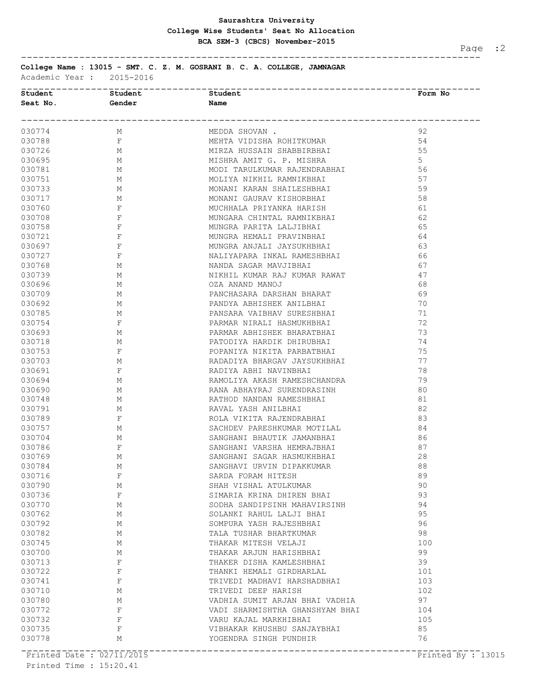## **Saurashtra University BCA SEM-3 (CBCS) November-2015 College Wise Students' Seat No Allocation**

-------------------------------------------------------------------------------

Page :2

**College Name : 13015 - SMT. C. Z. M. GOSRANI B. C. A. COLLEGE, JAMNAGAR**

Academic Year : 2015-2016

|                                                                                                                                                                                                   | Student Student          | <b>Student</b>                                                                                                                                                                 | Form No           |  |
|---------------------------------------------------------------------------------------------------------------------------------------------------------------------------------------------------|--------------------------|--------------------------------------------------------------------------------------------------------------------------------------------------------------------------------|-------------------|--|
|                                                                                                                                                                                                   | Seat No. 6ender Name     |                                                                                                                                                                                |                   |  |
|                                                                                                                                                                                                   |                          |                                                                                                                                                                                |                   |  |
| 030774                                                                                                                                                                                            | M                        | MEDDA SHOVAN.                                                                                                                                                                  | 92                |  |
|                                                                                                                                                                                                   | 030788 F                 | MEHTA VIDISHA ROHITKUMAR                                                                                                                                                       | 54                |  |
|                                                                                                                                                                                                   |                          | 030726 M MIRZA HUSSAIN SHABBIRBHAI                                                                                                                                             | 55                |  |
|                                                                                                                                                                                                   |                          |                                                                                                                                                                                | 5 <sup>5</sup>    |  |
|                                                                                                                                                                                                   |                          |                                                                                                                                                                                | 56                |  |
|                                                                                                                                                                                                   |                          |                                                                                                                                                                                | 57                |  |
|                                                                                                                                                                                                   |                          | MISHRA AMIT G. P. MISHRA<br>MODI TARULKUMAR RAJENDRABHAI<br>MODI TARULKUMAR RAJENDRABHAI<br>MONANI KARAN SHAILESHBHAI<br>MONANI KARAN SHAILESHBHAI<br>MONANI GAURAV KISHORBHAI | 59                |  |
|                                                                                                                                                                                                   |                          |                                                                                                                                                                                | 58                |  |
|                                                                                                                                                                                                   |                          | MUCHHALA PRIYANKA HARISH                                                                                                                                                       | 61                |  |
| $\begin{array}{llll} 0.307708 & & & & \text{F} \\ 0.307758 & & & \text{F} \\ 0.30758 & & & \text{F} \\ 0.30721 & & & \text{F} \\ 0.30697 & & & \text{F} \\ 0.30727 & & & \text{F} \\ \end{array}$ |                          | MUNGARA CHINTAL RAMNIKBHAI                                                                                                                                                     | 62                |  |
|                                                                                                                                                                                                   |                          |                                                                                                                                                                                | 65                |  |
|                                                                                                                                                                                                   |                          |                                                                                                                                                                                | 64                |  |
|                                                                                                                                                                                                   |                          | MUNGRA PARITA LALJIBHAI<br>MUNGRA HEMALI PRAVINBHAI<br>MUNGRA ANJALI JAYSUKHBHAI<br>NALIYAPARA INKAL RAMESHBHAI                                                                | 63                |  |
|                                                                                                                                                                                                   |                          |                                                                                                                                                                                | 66                |  |
|                                                                                                                                                                                                   |                          | NANDA SAGAR MAVJIBHAI                                                                                                                                                          | 67                |  |
|                                                                                                                                                                                                   |                          | NIKHIL KUMAR RAJ KUMAR RAWAT                                                                                                                                                   | 47                |  |
|                                                                                                                                                                                                   |                          |                                                                                                                                                                                | 68                |  |
|                                                                                                                                                                                                   |                          | OZA ANAND MANOJ<br>PANCHASARA DARSHAN BHARAT<br>PANDYA ABHISHEK ANILBHAI<br>PANSARA VAIBHAV SURESHBHAI                                                                         | 69                |  |
|                                                                                                                                                                                                   |                          |                                                                                                                                                                                | 70                |  |
|                                                                                                                                                                                                   |                          |                                                                                                                                                                                | 71                |  |
|                                                                                                                                                                                                   |                          | PARMAR NIRALI HASMUKHBHAI                                                                                                                                                      | 72                |  |
|                                                                                                                                                                                                   |                          | PARMAR ABHISHEK BHARATBHAI                                                                                                                                                     | 73                |  |
|                                                                                                                                                                                                   |                          | PATODIYA HARDIK DHIRUBHAI<br>POPANIYA NIKITA PARBATBHAI<br>RADADIYA BHARGAV JAYSUKHBHAI<br>RADIYA ABHI NAVINBHAI                                                               | 74                |  |
|                                                                                                                                                                                                   |                          |                                                                                                                                                                                | 75                |  |
|                                                                                                                                                                                                   |                          |                                                                                                                                                                                | 77                |  |
|                                                                                                                                                                                                   |                          |                                                                                                                                                                                | 78                |  |
|                                                                                                                                                                                                   |                          | RAMOLIYA AKASH RAMESHCHANDRA                                                                                                                                                   | 79                |  |
|                                                                                                                                                                                                   |                          | RANA ABHAYRAJ SURENDRASINH                                                                                                                                                     | 80                |  |
|                                                                                                                                                                                                   |                          |                                                                                                                                                                                | 81                |  |
|                                                                                                                                                                                                   |                          |                                                                                                                                                                                | 82                |  |
|                                                                                                                                                                                                   |                          |                                                                                                                                                                                | 83                |  |
|                                                                                                                                                                                                   |                          | RATHOD NANDAN RAMESHBHAI<br>RAVAL YASH ANILBHAI<br>ROLA VIKITA RAJENDRABHAI<br>SACHDEV PARESHKUMAR MOTILAL                                                                     | 84                |  |
| 030704 M                                                                                                                                                                                          |                          | SANGHANI BHAUTIK JAMANBHAI                                                                                                                                                     | 86                |  |
| 030786 F                                                                                                                                                                                          |                          | SANGHANI VARSHA HEMRAJBHAI                                                                                                                                                     | 87                |  |
| 030769                                                                                                                                                                                            | M                        | SANGHANI SAGAR HASMUKHBHAI                                                                                                                                                     | 28                |  |
| 030784                                                                                                                                                                                            | М                        | SANGHAVI URVIN DIPAKKUMAR                                                                                                                                                      | 88                |  |
| 030716                                                                                                                                                                                            | F                        | SARDA FORAM HITESH                                                                                                                                                             | 89                |  |
| 030790                                                                                                                                                                                            | М                        | SHAH VISHAL ATULKUMAR                                                                                                                                                          | 90                |  |
| 030736                                                                                                                                                                                            | F                        | SIMARIA KRINA DHIREN BHAI                                                                                                                                                      | 93                |  |
| 030770                                                                                                                                                                                            | М                        | SODHA SANDIPSINH MAHAVIRSINH                                                                                                                                                   | 94                |  |
| 030762                                                                                                                                                                                            | М                        | SOLANKI RAHUL LALJI BHAI                                                                                                                                                       | 95                |  |
| 030792                                                                                                                                                                                            | M                        | SOMPURA YASH RAJESHBHAI                                                                                                                                                        | 96                |  |
| 030782                                                                                                                                                                                            | М                        | TALA TUSHAR BHARTKUMAR                                                                                                                                                         | 98                |  |
| 030745                                                                                                                                                                                            | М                        | THAKAR MITESH VELAJI                                                                                                                                                           | 100               |  |
| 030700                                                                                                                                                                                            | М                        | THAKAR ARJUN HARISHBHAI                                                                                                                                                        | 99                |  |
| 030713                                                                                                                                                                                            | F                        | THAKER DISHA KAMLESHBHAI                                                                                                                                                       | 39                |  |
| 030722                                                                                                                                                                                            | F                        | THANKI HEMALI GIRDHARLAL                                                                                                                                                       | 101               |  |
| 030741                                                                                                                                                                                            | F                        | TRIVEDI MADHAVI HARSHADBHAI                                                                                                                                                    | 103               |  |
| 030710                                                                                                                                                                                            | М                        | TRIVEDI DEEP HARISH                                                                                                                                                            | 102               |  |
| 030780                                                                                                                                                                                            | М                        | VADHIA SUMIT ARJAN BHAI VADHIA                                                                                                                                                 | 97                |  |
| 030772                                                                                                                                                                                            | F                        | VADI SHARMISHTHA GHANSHYAM BHAI                                                                                                                                                | 104               |  |
| 030732                                                                                                                                                                                            | F                        | VARU KAJAL MARKHIBHAI                                                                                                                                                          | 105               |  |
| 030735                                                                                                                                                                                            | F                        | VIBHAKAR KHUSHBU SANJAYBHAI                                                                                                                                                    | 85                |  |
| 030778                                                                                                                                                                                            | М                        | YOGENDRA SINGH PUNDHIR                                                                                                                                                         | 76                |  |
|                                                                                                                                                                                                   |                          |                                                                                                                                                                                |                   |  |
|                                                                                                                                                                                                   | Printed Date: 02711/2015 |                                                                                                                                                                                | Printed By: 13015 |  |